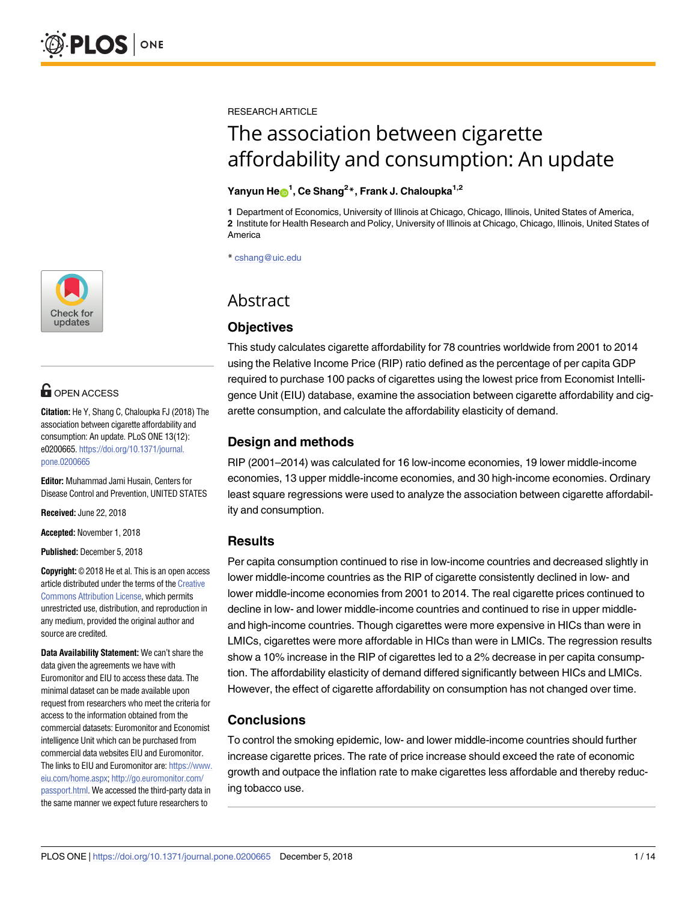

## **OPEN ACCESS**

**Citation:** He Y, Shang C, Chaloupka FJ (2018) The association between cigarette affordability and consumption: An update. PLoS ONE 13(12): e0200665. [https://doi.org/10.1371/journal.](https://doi.org/10.1371/journal.pone.0200665) [pone.0200665](https://doi.org/10.1371/journal.pone.0200665)

**Editor:** Muhammad Jami Husain, Centers for Disease Control and Prevention, UNITED STATES

**Received:** June 22, 2018

**Accepted:** November 1, 2018

**Published:** December 5, 2018

**Copyright:** © 2018 He et al. This is an open access article distributed under the terms of the [Creative](http://creativecommons.org/licenses/by/4.0/) [Commons](http://creativecommons.org/licenses/by/4.0/) Attribution License, which permits unrestricted use, distribution, and reproduction in any medium, provided the original author and source are credited.

**Data Availability Statement:** We can't share the data given the agreements we have with Euromonitor and EIU to access these data. The minimal dataset can be made available upon request from researchers who meet the criteria for access to the information obtained from the commercial datasets: Euromonitor and Economist intelligence Unit which can be purchased from commercial data websites EIU and Euromonitor. The links to EIU and Euromonitor are: [https://www.](https://www.eiu.com/home.aspx) [eiu.com/home.aspx](https://www.eiu.com/home.aspx); [http://go.euromonitor.com/](http://go.euromonitor.com/passport.html) [passport.html](http://go.euromonitor.com/passport.html). We accessed the third-party data in the same manner we expect future researchers to

RESEARCH ARTICLE

# The association between cigarette affordability and consumption: An update

### $\mathbf{Y}$ anyun He $\mathbf{\Theta}^1$ , Ce Shang<sup>2</sup>\*, Frank J. Chaloupka<sup>1,2</sup>

**1** Department of Economics, University of Illinois at Chicago, Chicago, Illinois, United States of America, **2** Institute for Health Research and Policy, University of Illinois at Chicago, Chicago, Illinois, United States of America

\* cshang@uic.edu

## Abstract

## **Objectives**

This study calculates cigarette affordability for 78 countries worldwide from 2001 to 2014 using the Relative Income Price (RIP) ratio defined as the percentage of per capita GDP required to purchase 100 packs of cigarettes using the lowest price from Economist Intelligence Unit (EIU) database, examine the association between cigarette affordability and cigarette consumption, and calculate the affordability elasticity of demand.

## **Design and methods**

RIP (2001–2014) was calculated for 16 low-income economies, 19 lower middle-income economies, 13 upper middle-income economies, and 30 high-income economies. Ordinary least square regressions were used to analyze the association between cigarette affordability and consumption.

## **Results**

Per capita consumption continued to rise in low-income countries and decreased slightly in lower middle-income countries as the RIP of cigarette consistently declined in low- and lower middle-income economies from 2001 to 2014. The real cigarette prices continued to decline in low- and lower middle-income countries and continued to rise in upper middleand high-income countries. Though cigarettes were more expensive in HICs than were in LMICs, cigarettes were more affordable in HICs than were in LMICs. The regression results show a 10% increase in the RIP of cigarettes led to a 2% decrease in per capita consumption. The affordability elasticity of demand differed significantly between HICs and LMICs. However, the effect of cigarette affordability on consumption has not changed over time.

## **Conclusions**

To control the smoking epidemic, low- and lower middle-income countries should further increase cigarette prices. The rate of price increase should exceed the rate of economic growth and outpace the inflation rate to make cigarettes less affordable and thereby reducing tobacco use.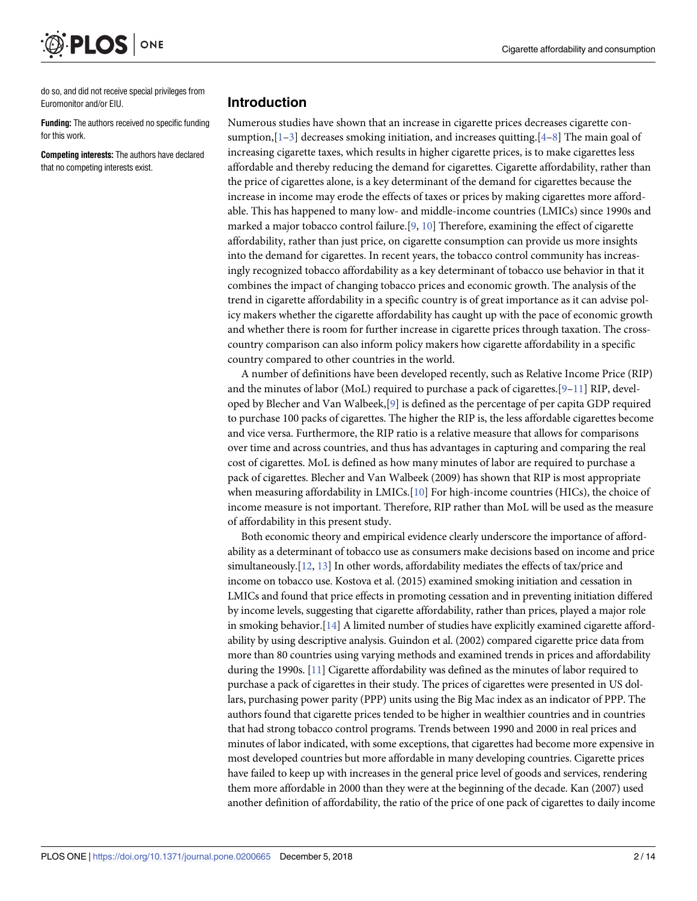do so, and did not receive special privileges from Euromonitor and/or EIU.

ONE

<span id="page-1-0"></span>PLOS

**Funding:** The authors received no specific funding for this work.

**Competing interests:** The authors have declared that no competing interests exist.

#### **Introduction**

Numerous studies have shown that an increase in cigarette prices decreases cigarette consumption,  $[1-3]$  decreases smoking initiation, and increases quitting.  $[4-8]$  $[4-8]$  $[4-8]$  The main goal of increasing cigarette taxes, which results in higher cigarette prices, is to make cigarettes less affordable and thereby reducing the demand for cigarettes. Cigarette affordability, rather than the price of cigarettes alone, is a key determinant of the demand for cigarettes because the increase in income may erode the effects of taxes or prices by making cigarettes more affordable. This has happened to many low- and middle-income countries (LMICs) since 1990s and marked a major tobacco control failure. [\[9,](#page-13-0) [10\]](#page-13-0) Therefore, examining the effect of cigarette affordability, rather than just price, on cigarette consumption can provide us more insights into the demand for cigarettes. In recent years, the tobacco control community has increasingly recognized tobacco affordability as a key determinant of tobacco use behavior in that it combines the impact of changing tobacco prices and economic growth. The analysis of the trend in cigarette affordability in a specific country is of great importance as it can advise policy makers whether the cigarette affordability has caught up with the pace of economic growth and whether there is room for further increase in cigarette prices through taxation. The crosscountry comparison can also inform policy makers how cigarette affordability in a specific country compared to other countries in the world.

A number of definitions have been developed recently, such as Relative Income Price (RIP) and the minutes of labor (MoL) required to purchase a pack of cigarettes.[[9](#page-13-0)–[11](#page-13-0)] RIP, developed by Blecher and Van Walbeek,[[9\]](#page-13-0) is defined as the percentage of per capita GDP required to purchase 100 packs of cigarettes. The higher the RIP is, the less affordable cigarettes become and vice versa. Furthermore, the RIP ratio is a relative measure that allows for comparisons over time and across countries, and thus has advantages in capturing and comparing the real cost of cigarettes. MoL is defined as how many minutes of labor are required to purchase a pack of cigarettes. Blecher and Van Walbeek (2009) has shown that RIP is most appropriate when measuring affordability in LMICs.[\[10\]](#page-13-0) For high-income countries (HICs), the choice of income measure is not important. Therefore, RIP rather than MoL will be used as the measure of affordability in this present study.

Both economic theory and empirical evidence clearly underscore the importance of affordability as a determinant of tobacco use as consumers make decisions based on income and price simultaneously.[[12](#page-13-0), [13](#page-13-0)] In other words, affordability mediates the effects of tax/price and income on tobacco use. Kostova et al. (2015) examined smoking initiation and cessation in LMICs and found that price effects in promoting cessation and in preventing initiation differed by income levels, suggesting that cigarette affordability, rather than prices, played a major role in smoking behavior.[[14\]](#page-13-0) A limited number of studies have explicitly examined cigarette affordability by using descriptive analysis. Guindon et al. (2002) compared cigarette price data from more than 80 countries using varying methods and examined trends in prices and affordability during the 1990s. [\[11\]](#page-13-0) Cigarette affordability was defined as the minutes of labor required to purchase a pack of cigarettes in their study. The prices of cigarettes were presented in US dollars, purchasing power parity (PPP) units using the Big Mac index as an indicator of PPP. The authors found that cigarette prices tended to be higher in wealthier countries and in countries that had strong tobacco control programs. Trends between 1990 and 2000 in real prices and minutes of labor indicated, with some exceptions, that cigarettes had become more expensive in most developed countries but more affordable in many developing countries. Cigarette prices have failed to keep up with increases in the general price level of goods and services, rendering them more affordable in 2000 than they were at the beginning of the decade. Kan (2007) used another definition of affordability, the ratio of the price of one pack of cigarettes to daily income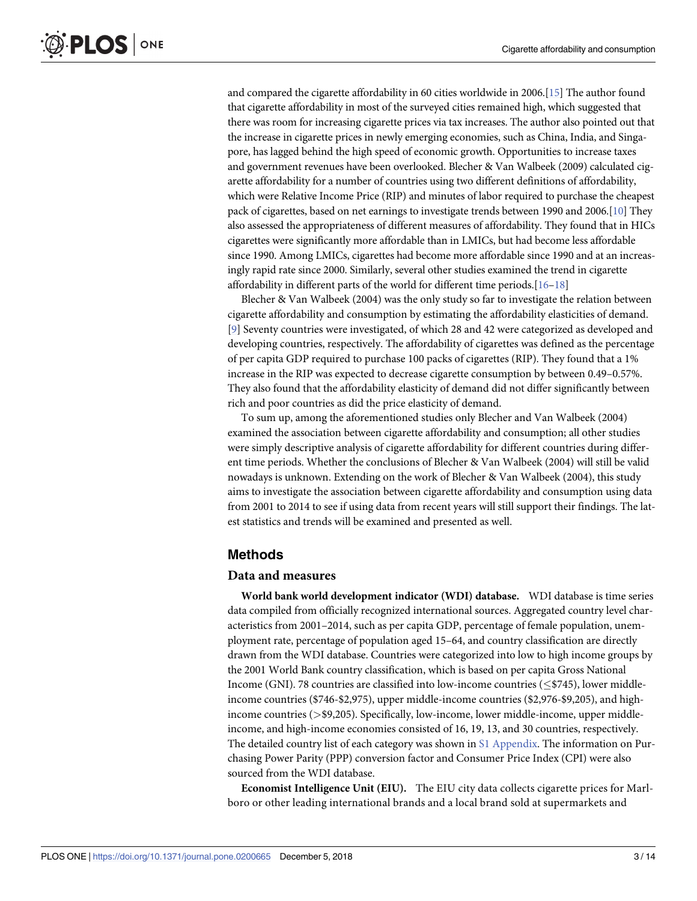<span id="page-2-0"></span>and compared the cigarette affordability in 60 cities worldwide in 2006.[\[15\]](#page-13-0) The author found that cigarette affordability in most of the surveyed cities remained high, which suggested that there was room for increasing cigarette prices via tax increases. The author also pointed out that the increase in cigarette prices in newly emerging economies, such as China, India, and Singapore, has lagged behind the high speed of economic growth. Opportunities to increase taxes and government revenues have been overlooked. Blecher & Van Walbeek (2009) calculated cigarette affordability for a number of countries using two different definitions of affordability, which were Relative Income Price (RIP) and minutes of labor required to purchase the cheapest pack of cigarettes, based on net earnings to investigate trends between 1990 and 2006.[\[10\]](#page-13-0) They also assessed the appropriateness of different measures of affordability. They found that in HICs cigarettes were significantly more affordable than in LMICs, but had become less affordable since 1990. Among LMICs, cigarettes had become more affordable since 1990 and at an increasingly rapid rate since 2000. Similarly, several other studies examined the trend in cigarette affordability in different parts of the world for different time periods.[[16–18\]](#page-13-0)

Blecher & Van Walbeek (2004) was the only study so far to investigate the relation between cigarette affordability and consumption by estimating the affordability elasticities of demand. [\[9](#page-13-0)] Seventy countries were investigated, of which 28 and 42 were categorized as developed and developing countries, respectively. The affordability of cigarettes was defined as the percentage of per capita GDP required to purchase 100 packs of cigarettes (RIP). They found that a 1% increase in the RIP was expected to decrease cigarette consumption by between 0.49–0.57%. They also found that the affordability elasticity of demand did not differ significantly between rich and poor countries as did the price elasticity of demand.

To sum up, among the aforementioned studies only Blecher and Van Walbeek (2004) examined the association between cigarette affordability and consumption; all other studies were simply descriptive analysis of cigarette affordability for different countries during different time periods. Whether the conclusions of Blecher & Van Walbeek (2004) will still be valid nowadays is unknown. Extending on the work of Blecher & Van Walbeek (2004), this study aims to investigate the association between cigarette affordability and consumption using data from 2001 to 2014 to see if using data from recent years will still support their findings. The latest statistics and trends will be examined and presented as well.

#### **Methods**

#### **Data and measures**

**World bank world development indicator (WDI) database.** WDI database is time series data compiled from officially recognized international sources. Aggregated country level characteristics from 2001–2014, such as per capita GDP, percentage of female population, unemployment rate, percentage of population aged 15–64, and country classification are directly drawn from the WDI database. Countries were categorized into low to high income groups by the 2001 World Bank country classification, which is based on per capita Gross National Income (GNI). 78 countries are classified into low-income countries ( $\le$ \$745), lower middleincome countries (\$746-\$2,975), upper middle-income countries (\$2,976-\$9,205), and highincome countries (*>*\$9,205). Specifically, low-income, lower middle-income, upper middleincome, and high-income economies consisted of 16, 19, 13, and 30 countries, respectively. The detailed country list of each category was shown in S1 [Appendix](#page-12-0). The information on Purchasing Power Parity (PPP) conversion factor and Consumer Price Index (CPI) were also sourced from the WDI database.

**Economist Intelligence Unit (EIU).** The EIU city data collects cigarette prices for Marlboro or other leading international brands and a local brand sold at supermarkets and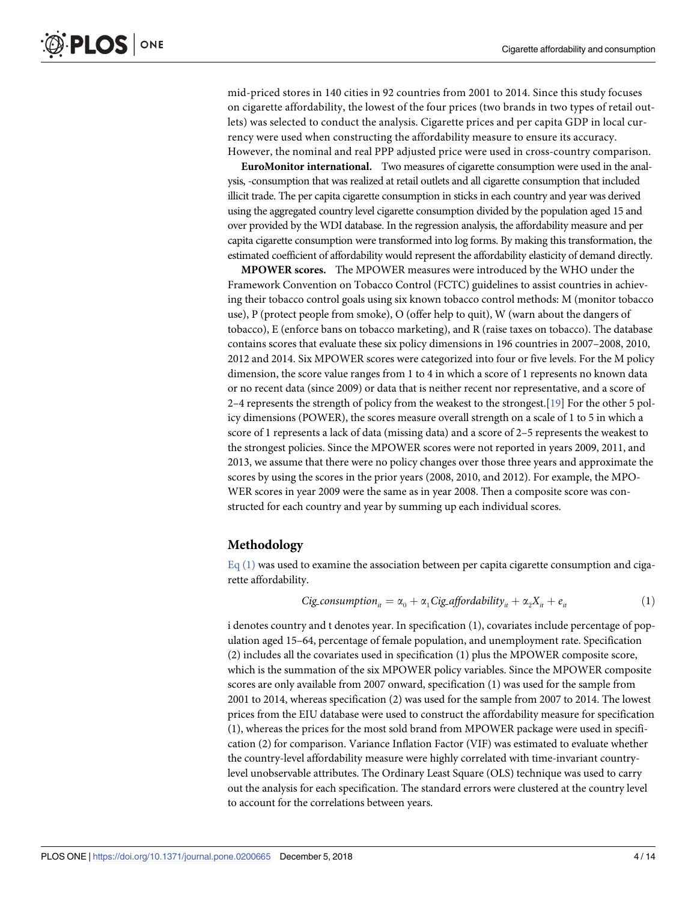<span id="page-3-0"></span>mid-priced stores in 140 cities in 92 countries from 2001 to 2014. Since this study focuses on cigarette affordability, the lowest of the four prices (two brands in two types of retail outlets) was selected to conduct the analysis. Cigarette prices and per capita GDP in local currency were used when constructing the affordability measure to ensure its accuracy. However, the nominal and real PPP adjusted price were used in cross-country comparison.

**EuroMonitor international.** Two measures of cigarette consumption were used in the analysis, -consumption that was realized at retail outlets and all cigarette consumption that included illicit trade. The per capita cigarette consumption in sticks in each country and year was derived using the aggregated country level cigarette consumption divided by the population aged 15 and over provided by the WDI database. In the regression analysis, the affordability measure and per capita cigarette consumption were transformed into log forms. By making this transformation, the estimated coefficient of affordability would represent the affordability elasticity of demand directly.

**MPOWER scores.** The MPOWER measures were introduced by the WHO under the Framework Convention on Tobacco Control (FCTC) guidelines to assist countries in achieving their tobacco control goals using six known tobacco control methods: M (monitor tobacco use), P (protect people from smoke), O (offer help to quit), W (warn about the dangers of tobacco), E (enforce bans on tobacco marketing), and R (raise taxes on tobacco). The database contains scores that evaluate these six policy dimensions in 196 countries in 2007–2008, 2010, 2012 and 2014. Six MPOWER scores were categorized into four or five levels. For the M policy dimension, the score value ranges from 1 to 4 in which a score of 1 represents no known data or no recent data (since 2009) or data that is neither recent nor representative, and a score of 2–4 represents the strength of policy from the weakest to the strongest.[\[19\]](#page-13-0) For the other 5 policy dimensions (POWER), the scores measure overall strength on a scale of 1 to 5 in which a score of 1 represents a lack of data (missing data) and a score of 2–5 represents the weakest to the strongest policies. Since the MPOWER scores were not reported in years 2009, 2011, and 2013, we assume that there were no policy changes over those three years and approximate the scores by using the scores in the prior years (2008, 2010, and 2012). For example, the MPO-WER scores in year 2009 were the same as in year 2008. Then a composite score was constructed for each country and year by summing up each individual scores.

#### **Methodology**

 $Eq(1)$  was used to examine the association between per capita cigarette consumption and cigarette affordability.

*Cig-consumption<sub>it</sub>* = 
$$
\alpha_0 + \alpha_1 Cig_{\text{affordability}_{it}} + \alpha_2 X_{it} + e_{it}
$$
 (1)

i denotes country and t denotes year. In specification (1), covariates include percentage of population aged 15–64, percentage of female population, and unemployment rate. Specification (2) includes all the covariates used in specification (1) plus the MPOWER composite score, which is the summation of the six MPOWER policy variables. Since the MPOWER composite scores are only available from 2007 onward, specification (1) was used for the sample from 2001 to 2014, whereas specification (2) was used for the sample from 2007 to 2014. The lowest prices from the EIU database were used to construct the affordability measure for specification (1), whereas the prices for the most sold brand from MPOWER package were used in specification (2) for comparison. Variance Inflation Factor (VIF) was estimated to evaluate whether the country-level affordability measure were highly correlated with time-invariant countrylevel unobservable attributes. The Ordinary Least Square (OLS) technique was used to carry out the analysis for each specification. The standard errors were clustered at the country level to account for the correlations between years.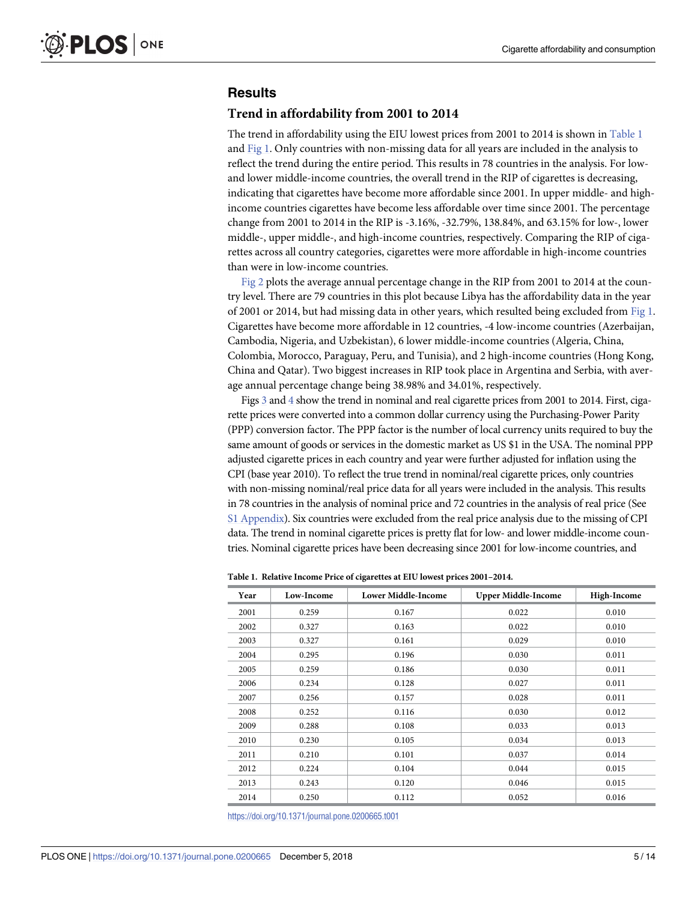## <span id="page-4-0"></span>**Results**

#### **Trend in affordability from 2001 to 2014**

The trend in affordability using the EIU lowest prices from 2001 to 2014 is shown in Table 1 and [Fig](#page-5-0) 1. Only countries with non-missing data for all years are included in the analysis to reflect the trend during the entire period. This results in 78 countries in the analysis. For lowand lower middle-income countries, the overall trend in the RIP of cigarettes is decreasing, indicating that cigarettes have become more affordable since 2001. In upper middle- and highincome countries cigarettes have become less affordable over time since 2001. The percentage change from 2001 to 2014 in the RIP is -3.16%, -32.79%, 138.84%, and 63.15% for low-, lower middle-, upper middle-, and high-income countries, respectively. Comparing the RIP of cigarettes across all country categories, cigarettes were more affordable in high-income countries than were in low-income countries.

[Fig](#page-6-0) 2 plots the average annual percentage change in the RIP from 2001 to 2014 at the country level. There are 79 countries in this plot because Libya has the affordability data in the year of 2001 or 2014, but had missing data in other years, which resulted being excluded from [Fig](#page-5-0) 1. Cigarettes have become more affordable in 12 countries, -4 low-income countries (Azerbaijan, Cambodia, Nigeria, and Uzbekistan), 6 lower middle-income countries (Algeria, China, Colombia, Morocco, Paraguay, Peru, and Tunisia), and 2 high-income countries (Hong Kong, China and Qatar). Two biggest increases in RIP took place in Argentina and Serbia, with average annual percentage change being 38.98% and 34.01%, respectively.

Figs [3](#page-7-0) and [4](#page-7-0) show the trend in nominal and real cigarette prices from 2001 to 2014. First, cigarette prices were converted into a common dollar currency using the Purchasing-Power Parity (PPP) conversion factor. The PPP factor is the number of local currency units required to buy the same amount of goods or services in the domestic market as US \$1 in the USA. The nominal PPP adjusted cigarette prices in each country and year were further adjusted for inflation using the CPI (base year 2010). To reflect the true trend in nominal/real cigarette prices, only countries with non-missing nominal/real price data for all years were included in the analysis. This results in 78 countries in the analysis of nominal price and 72 countries in the analysis of real price (See S1 [Appendix\)](#page-12-0). Six countries were excluded from the real price analysis due to the missing of CPI data. The trend in nominal cigarette prices is pretty flat for low- and lower middle-income countries. Nominal cigarette prices have been decreasing since 2001 for low-income countries, and

| Year | Low-Income | <b>Lower Middle-Income</b> | <b>Upper Middle-Income</b> | High-Income |
|------|------------|----------------------------|----------------------------|-------------|
| 2001 | 0.259      | 0.167                      | 0.022                      | 0.010       |
| 2002 | 0.327      | 0.163                      | 0.022                      | 0.010       |
| 2003 | 0.327      | 0.161                      | 0.029                      | 0.010       |
| 2004 | 0.295      | 0.196                      | 0.030                      | 0.011       |
| 2005 | 0.259      | 0.186                      | 0.030                      | 0.011       |
| 2006 | 0.234      | 0.128                      | 0.027                      | 0.011       |
| 2007 | 0.256      | 0.157                      | 0.028                      | 0.011       |
| 2008 | 0.252      | 0.116                      | 0.030                      | 0.012       |
| 2009 | 0.288      | 0.108                      | 0.033                      | 0.013       |
| 2010 | 0.230      | 0.105                      | 0.034                      | 0.013       |
| 2011 | 0.210      | 0.101                      | 0.037                      | 0.014       |
| 2012 | 0.224      | 0.104                      | 0.044                      | 0.015       |
| 2013 | 0.243      | 0.120                      | 0.046                      | 0.015       |
| 2014 | 0.250      | 0.112                      | 0.052                      | 0.016       |

**Table 1. Relative Income Price of cigarettes at EIU lowest prices 2001–2014.**

<https://doi.org/10.1371/journal.pone.0200665.t001>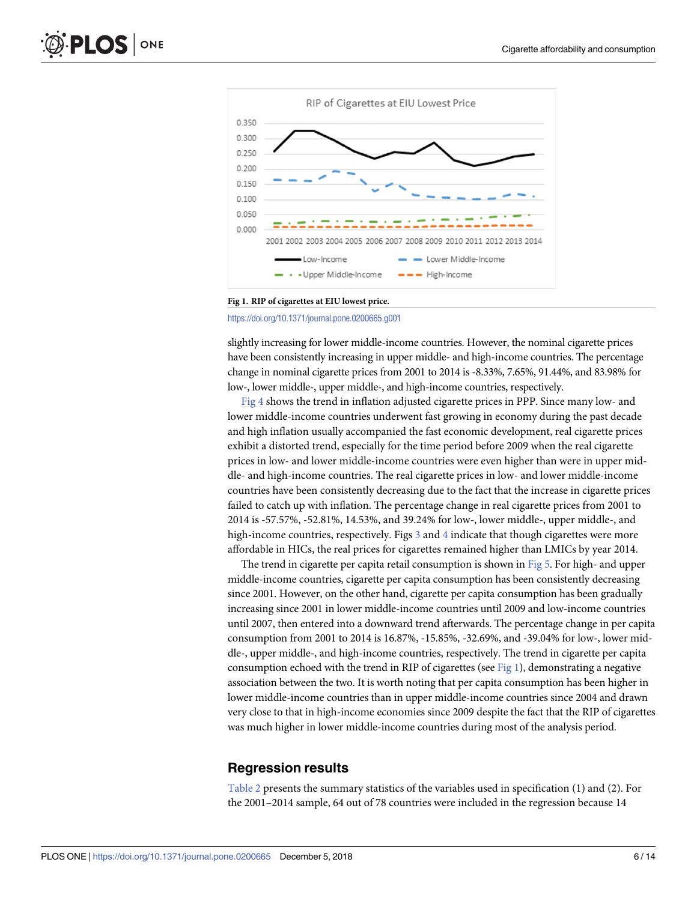<span id="page-5-0"></span>

#### **[Fig](#page-4-0) 1. RIP of cigarettes at EIU lowest price.**

<https://doi.org/10.1371/journal.pone.0200665.g001>

slightly increasing for lower middle-income countries. However, the nominal cigarette prices have been consistently increasing in upper middle- and high-income countries. The percentage change in nominal cigarette prices from 2001 to 2014 is -8.33%, 7.65%, 91.44%, and 83.98% for low-, lower middle-, upper middle-, and high-income countries, respectively.

[Fig](#page-7-0) 4 shows the trend in inflation adjusted cigarette prices in PPP. Since many low- and lower middle-income countries underwent fast growing in economy during the past decade and high inflation usually accompanied the fast economic development, real cigarette prices exhibit a distorted trend, especially for the time period before 2009 when the real cigarette prices in low- and lower middle-income countries were even higher than were in upper middle- and high-income countries. The real cigarette prices in low- and lower middle-income countries have been consistently decreasing due to the fact that the increase in cigarette prices failed to catch up with inflation. The percentage change in real cigarette prices from 2001 to 2014 is -57.57%, -52.81%, 14.53%, and 39.24% for low-, lower middle-, upper middle-, and high-income countries, respectively. Figs [3](#page-7-0) and [4](#page-7-0) indicate that though cigarettes were more affordable in HICs, the real prices for cigarettes remained higher than LMICs by year 2014.

The trend in cigarette per capita retail consumption is shown in [Fig](#page-8-0) 5. For high- and upper middle-income countries, cigarette per capita consumption has been consistently decreasing since 2001. However, on the other hand, cigarette per capita consumption has been gradually increasing since 2001 in lower middle-income countries until 2009 and low-income countries until 2007, then entered into a downward trend afterwards. The percentage change in per capita consumption from 2001 to 2014 is 16.87%, -15.85%, -32.69%, and -39.04% for low-, lower middle-, upper middle-, and high-income countries, respectively. The trend in cigarette per capita consumption echoed with the trend in RIP of cigarettes (see Fig 1), demonstrating a negative association between the two. It is worth noting that per capita consumption has been higher in lower middle-income countries than in upper middle-income countries since 2004 and drawn very close to that in high-income economies since 2009 despite the fact that the RIP of cigarettes was much higher in lower middle-income countries during most of the analysis period.

#### **Regression results**

[Table](#page-8-0) 2 presents the summary statistics of the variables used in specification (1) and (2). For the 2001–2014 sample, 64 out of 78 countries were included in the regression because 14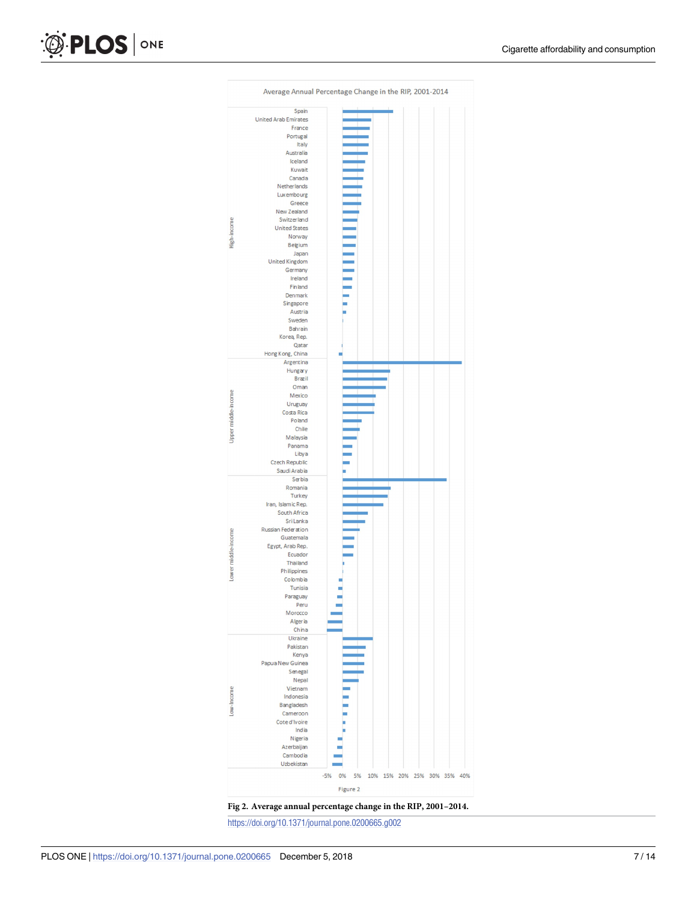<span id="page-6-0"></span>



<https://doi.org/10.1371/journal.pone.0200665.g002>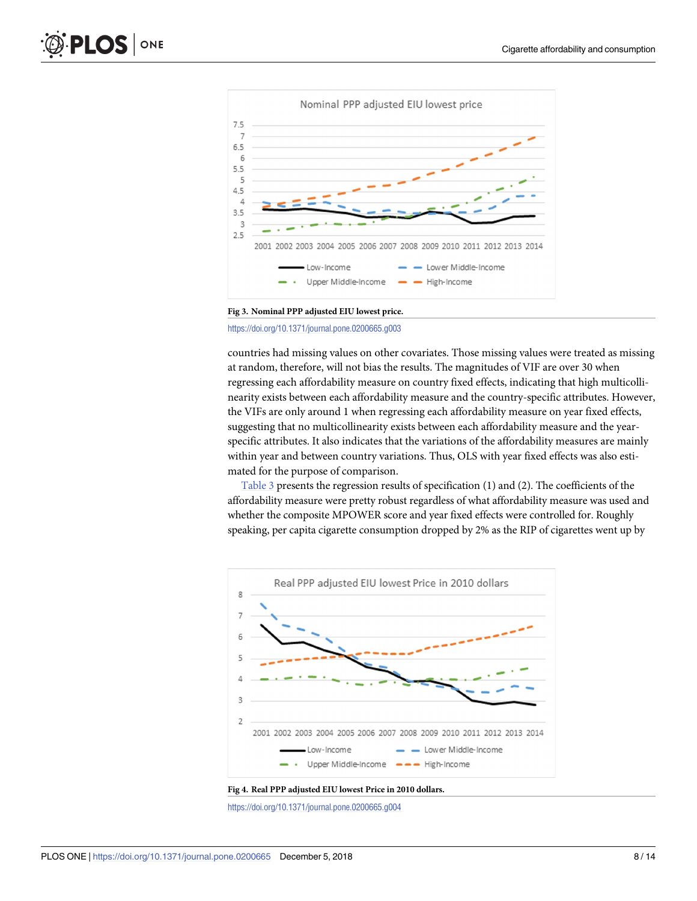<span id="page-7-0"></span>

**[Fig](#page-4-0) 3. Nominal PPP adjusted EIU lowest price.**

<https://doi.org/10.1371/journal.pone.0200665.g003>

countries had missing values on other covariates. Those missing values were treated as missing at random, therefore, will not bias the results. The magnitudes of VIF are over 30 when regressing each affordability measure on country fixed effects, indicating that high multicollinearity exists between each affordability measure and the country-specific attributes. However, the VIFs are only around 1 when regressing each affordability measure on year fixed effects, suggesting that no multicollinearity exists between each affordability measure and the yearspecific attributes. It also indicates that the variations of the affordability measures are mainly within year and between country variations. Thus, OLS with year fixed effects was also estimated for the purpose of comparison.

[Table](#page-9-0) 3 presents the regression results of specification (1) and (2). The coefficients of the affordability measure were pretty robust regardless of what affordability measure was used and whether the composite MPOWER score and year fixed effects were controlled for. Roughly speaking, per capita cigarette consumption dropped by 2% as the RIP of cigarettes went up by



**[Fig](#page-4-0) 4. Real PPP adjusted EIU lowest Price in 2010 dollars.**

<https://doi.org/10.1371/journal.pone.0200665.g004>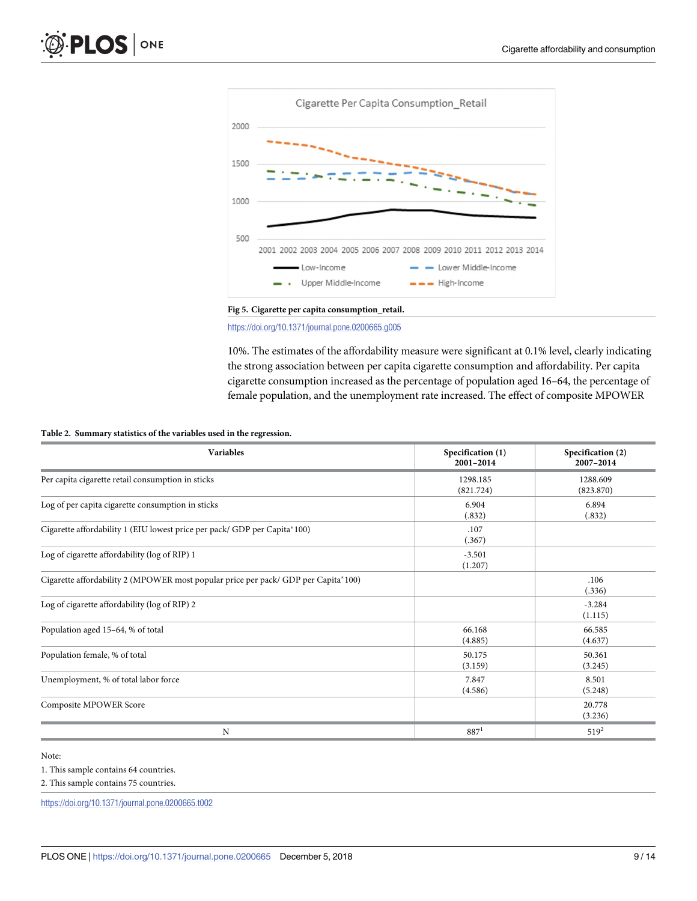<span id="page-8-0"></span>

**[Fig](#page-5-0) 5. Cigarette per capita consumption\_retail.**

<https://doi.org/10.1371/journal.pone.0200665.g005>

10%. The estimates of the affordability measure were significant at 0.1% level, clearly indicating the strong association between per capita cigarette consumption and affordability. Per capita cigarette consumption increased as the percentage of population aged 16–64, the percentage of female population, and the unemployment rate increased. The effect of composite MPOWER

#### **[Table](#page-5-0) 2. Summary statistics of the variables used in the regression.**

| <b>Variables</b>                                                                   | Specification (1)<br>2001-2014 | Specification (2)<br>2007-2014 |
|------------------------------------------------------------------------------------|--------------------------------|--------------------------------|
| Per capita cigarette retail consumption in sticks                                  | 1298.185<br>(821.724)          | 1288.609<br>(823.870)          |
| Log of per capita cigarette consumption in sticks                                  | 6.904<br>(.832)                | 6.894<br>(.832)                |
| Cigarette affordability 1 (EIU lowest price per pack/ GDP per Capita*100)          | .107<br>(.367)                 |                                |
| Log of cigarette affordability (log of RIP) 1                                      | $-3.501$<br>(1.207)            |                                |
| Cigarette affordability 2 (MPOWER most popular price per pack/ GDP per Capita*100) |                                | .106<br>(.336)                 |
| Log of cigarette affordability (log of RIP) 2                                      |                                | $-3.284$<br>(1.115)            |
| Population aged 15-64, % of total                                                  | 66.168<br>(4.885)              | 66.585<br>(4.637)              |
| Population female, % of total                                                      | 50.175<br>(3.159)              | 50.361<br>(3.245)              |
| Unemployment, % of total labor force                                               | 7.847<br>(4.586)               | 8.501<br>(5.248)               |
| Composite MPOWER Score                                                             |                                | 20.778<br>(3.236)              |
| N                                                                                  | $887^1$                        | $519^2$                        |

- Note:
- 1. This sample contains 64 countries.
- 2. This sample contains 75 countries.

<https://doi.org/10.1371/journal.pone.0200665.t002>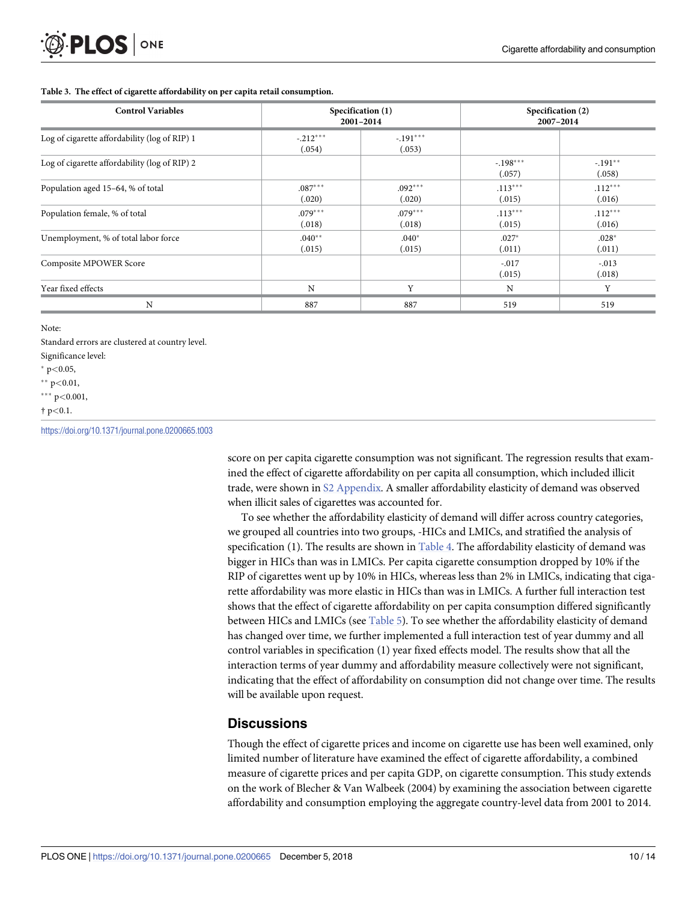#### <span id="page-9-0"></span>**[Table](#page-7-0) 3. The effect of cigarette affordability on per capita retail consumption.**

| <b>Control Variables</b>                      |                      | Specification (1)<br>2001-2014 |                      | Specification (2)<br>2007-2014 |  |
|-----------------------------------------------|----------------------|--------------------------------|----------------------|--------------------------------|--|
| Log of cigarette affordability (log of RIP) 1 | $-.212***$<br>(.054) | $-.191***$<br>(.053)           |                      |                                |  |
| Log of cigarette affordability (log of RIP) 2 |                      |                                | $-.198***$<br>(.057) | $-.191**$<br>(.058)            |  |
| Population aged 15-64, % of total             | $.087***$<br>(.020)  | $.092***$<br>(.020)            | $.113***$<br>(.015)  | $.112***$<br>(.016)            |  |
| Population female, % of total                 | $.079***$<br>(.018)  | $.079***$<br>(.018)            | $.113***$<br>(.015)  | $.112***$<br>(.016)            |  |
| Unemployment, % of total labor force          | $.040**$<br>(.015)   | $.040*$<br>(.015)              | $.027*$<br>(.011)    | $.028*$<br>(.011)              |  |
| Composite MPOWER Score                        |                      |                                | $-.017$<br>(.015)    | $-.013$<br>(.018)              |  |
| Year fixed effects                            | N                    | Y                              | $\rm N$              | Y                              |  |
| N                                             | 887                  | 887                            | 519                  | 519                            |  |

Note:

Standard errors are clustered at country level. Significance level:

� p*<*0.05,

�� p*<*0.01,

��� p*<*0.001,

† p*<*0.1.

<https://doi.org/10.1371/journal.pone.0200665.t003>

score on per capita cigarette consumption was not significant. The regression results that examined the effect of cigarette affordability on per capita all consumption, which included illicit trade, were shown in S2 [Appendix.](#page-12-0) A smaller affordability elasticity of demand was observed when illicit sales of cigarettes was accounted for.

To see whether the affordability elasticity of demand will differ across country categories, we grouped all countries into two groups, -HICs and LMICs, and stratified the analysis of specification (1). The results are shown in [Table](#page-10-0) 4. The affordability elasticity of demand was bigger in HICs than was in LMICs. Per capita cigarette consumption dropped by 10% if the RIP of cigarettes went up by 10% in HICs, whereas less than 2% in LMICs, indicating that cigarette affordability was more elastic in HICs than was in LMICs. A further full interaction test shows that the effect of cigarette affordability on per capita consumption differed significantly between HICs and LMICs (see [Table](#page-10-0) 5). To see whether the affordability elasticity of demand has changed over time, we further implemented a full interaction test of year dummy and all control variables in specification (1) year fixed effects model. The results show that all the interaction terms of year dummy and affordability measure collectively were not significant, indicating that the effect of affordability on consumption did not change over time. The results will be available upon request.

## **Discussions**

Though the effect of cigarette prices and income on cigarette use has been well examined, only limited number of literature have examined the effect of cigarette affordability, a combined measure of cigarette prices and per capita GDP, on cigarette consumption. This study extends on the work of Blecher & Van Walbeek (2004) by examining the association between cigarette affordability and consumption employing the aggregate country-level data from 2001 to 2014.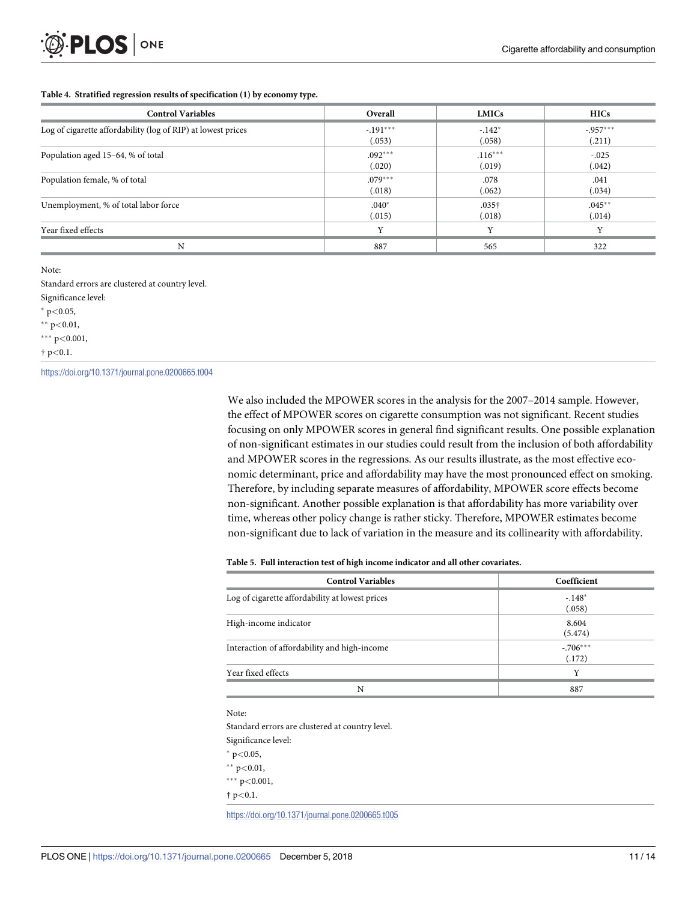#### <span id="page-10-0"></span>**[Table](#page-9-0) 4. Stratified regression results of specification (1) by economy type.**

| <b>Control Variables</b>                                     | Overall    | <b>LMICs</b>      | <b>HICs</b>  |
|--------------------------------------------------------------|------------|-------------------|--------------|
| Log of cigarette affordability (log of RIP) at lowest prices | $-.191***$ | $-.142*$          | $-0.957***$  |
|                                                              | (.053)     | (.058)            | (.211)       |
| Population aged 15-64, % of total                            | $.092***$  | $.116***$         | $-.025$      |
|                                                              | (.020)     | (.019)            | (.042)       |
| Population female, % of total                                | $.079***$  | .078              | .041         |
|                                                              | (.018)     | (.062)            | (.034)       |
| Unemployment, % of total labor force                         | $.040*$    | .035 <sup>†</sup> | $.045***$    |
|                                                              | (.015)     | (.018)            | (.014)       |
| Year fixed effects                                           | Y          | Y                 | $\mathbf{v}$ |
| N                                                            | 887        | 565               | 322          |

Note:

Standard errors are clustered at country level.

Significance level:

� p*<*0.05,

�� p*<*0.01,

��� p*<*0.001,

† p*<*0.1.

<https://doi.org/10.1371/journal.pone.0200665.t004>

We also included the MPOWER scores in the analysis for the 2007–2014 sample. However, the effect of MPOWER scores on cigarette consumption was not significant. Recent studies focusing on only MPOWER scores in general find significant results. One possible explanation of non-significant estimates in our studies could result from the inclusion of both affordability and MPOWER scores in the regressions. As our results illustrate, as the most effective economic determinant, price and affordability may have the most pronounced effect on smoking. Therefore, by including separate measures of affordability, MPOWER score effects become non-significant. Another possible explanation is that affordability has more variability over time, whereas other policy change is rather sticky. Therefore, MPOWER estimates become non-significant due to lack of variation in the measure and its collinearity with affordability.

#### **[Table](#page-9-0) 5. Full interaction test of high income indicator and all other covariates.**

| <b>Control Variables</b>                        | Coefficient           |
|-------------------------------------------------|-----------------------|
| Log of cigarette affordability at lowest prices | $-148*$<br>(.058)     |
| High-income indicator                           | 8.604<br>(5.474)      |
| Interaction of affordability and high-income    | $-0.706***$<br>(.172) |
| Year fixed effects                              | v                     |
| N                                               | 887                   |

Note:

Standard errors are clustered at country level. Significance level:

� p*<*0.05,

�� p*<*0.01,

��� p*<*0.001,

† p*<*0.1.

<https://doi.org/10.1371/journal.pone.0200665.t005>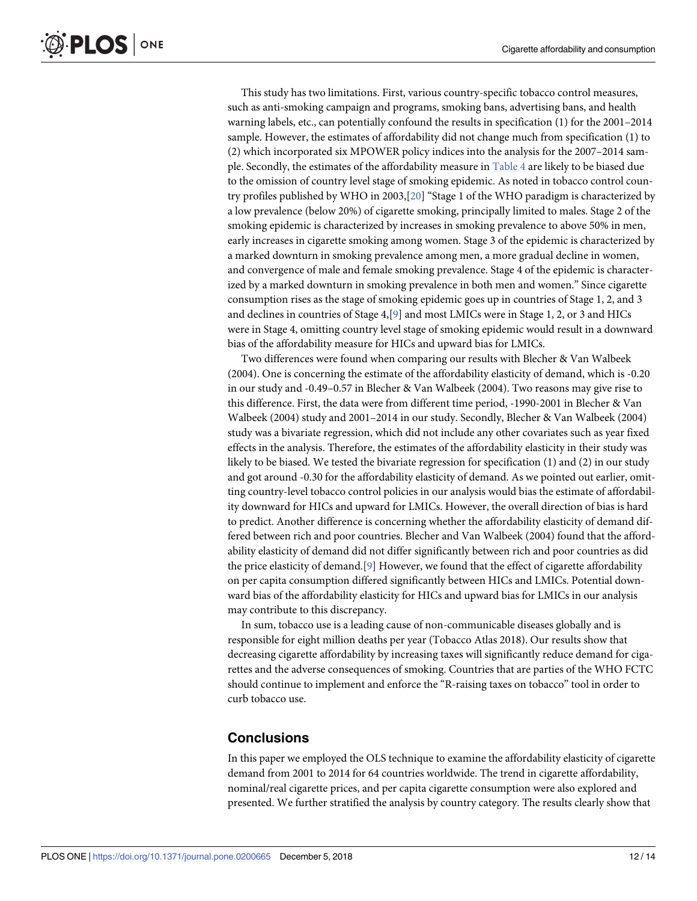<span id="page-11-0"></span>This study has two limitations. First, various country-specific tobacco control measures, such as anti-smoking campaign and programs, smoking bans, advertising bans, and health warning labels, etc., can potentially confound the results in specification (1) for the 2001–2014 sample. However, the estimates of affordability did not change much from specification (1) to (2) which incorporated six MPOWER policy indices into the analysis for the 2007–2014 sample. Secondly, the estimates of the affordability measure in [Table](#page-10-0) 4 are likely to be biased due to the omission of country level stage of smoking epidemic. As noted in tobacco control country profiles published by WHO in 2003,[[20](#page-13-0)] "Stage 1 of the WHO paradigm is characterized by a low prevalence (below 20%) of cigarette smoking, principally limited to males. Stage 2 of the smoking epidemic is characterized by increases in smoking prevalence to above 50% in men, early increases in cigarette smoking among women. Stage 3 of the epidemic is characterized by a marked downturn in smoking prevalence among men, a more gradual decline in women, and convergence of male and female smoking prevalence. Stage 4 of the epidemic is characterized by a marked downturn in smoking prevalence in both men and women." Since cigarette consumption rises as the stage of smoking epidemic goes up in countries of Stage 1, 2, and 3 and declines in countries of Stage 4,[\[9](#page-13-0)] and most LMICs were in Stage 1, 2, or 3 and HICs were in Stage 4, omitting country level stage of smoking epidemic would result in a downward bias of the affordability measure for HICs and upward bias for LMICs.

Two differences were found when comparing our results with Blecher & Van Walbeek (2004). One is concerning the estimate of the affordability elasticity of demand, which is -0.20 in our study and -0.49–0.57 in Blecher & Van Walbeek (2004). Two reasons may give rise to this difference. First, the data were from different time period, -1990-2001 in Blecher & Van Walbeek (2004) study and 2001–2014 in our study. Secondly, Blecher & Van Walbeek (2004) study was a bivariate regression, which did not include any other covariates such as year fixed effects in the analysis. Therefore, the estimates of the affordability elasticity in their study was likely to be biased. We tested the bivariate regression for specification (1) and (2) in our study and got around -0.30 for the affordability elasticity of demand. As we pointed out earlier, omitting country-level tobacco control policies in our analysis would bias the estimate of affordability downward for HICs and upward for LMICs. However, the overall direction of bias is hard to predict. Another difference is concerning whether the affordability elasticity of demand differed between rich and poor countries. Blecher and Van Walbeek (2004) found that the affordability elasticity of demand did not differ significantly between rich and poor countries as did the price elasticity of demand.[\[9](#page-13-0)] However, we found that the effect of cigarette affordability on per capita consumption differed significantly between HICs and LMICs. Potential downward bias of the affordability elasticity for HICs and upward bias for LMICs in our analysis may contribute to this discrepancy.

In sum, tobacco use is a leading cause of non-communicable diseases globally and is responsible for eight million deaths per year (Tobacco Atlas 2018). Our results show that decreasing cigarette affordability by increasing taxes will significantly reduce demand for cigarettes and the adverse consequences of smoking. Countries that are parties of the WHO FCTC should continue to implement and enforce the "R-raising taxes on tobacco" tool in order to curb tobacco use.

## **Conclusions**

In this paper we employed the OLS technique to examine the affordability elasticity of cigarette demand from 2001 to 2014 for 64 countries worldwide. The trend in cigarette affordability, nominal/real cigarette prices, and per capita cigarette consumption were also explored and presented. We further stratified the analysis by country category. The results clearly show that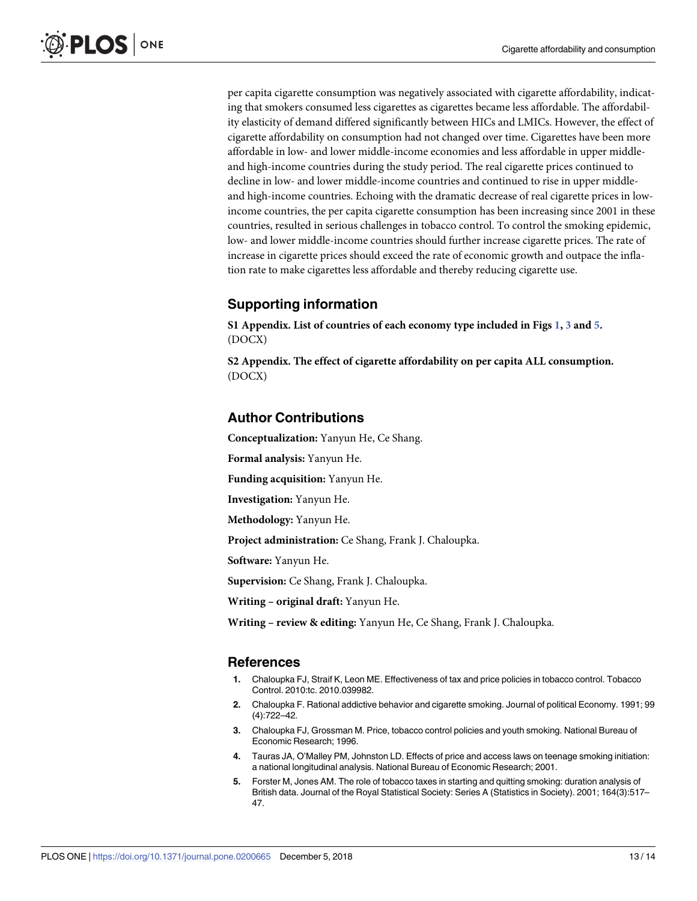<span id="page-12-0"></span>per capita cigarette consumption was negatively associated with cigarette affordability, indicating that smokers consumed less cigarettes as cigarettes became less affordable. The affordability elasticity of demand differed significantly between HICs and LMICs. However, the effect of cigarette affordability on consumption had not changed over time. Cigarettes have been more affordable in low- and lower middle-income economies and less affordable in upper middleand high-income countries during the study period. The real cigarette prices continued to decline in low- and lower middle-income countries and continued to rise in upper middleand high-income countries. Echoing with the dramatic decrease of real cigarette prices in lowincome countries, the per capita cigarette consumption has been increasing since 2001 in these countries, resulted in serious challenges in tobacco control. To control the smoking epidemic, low- and lower middle-income countries should further increase cigarette prices. The rate of increase in cigarette prices should exceed the rate of economic growth and outpace the inflation rate to make cigarettes less affordable and thereby reducing cigarette use.

## **Supporting information**

**S1 [Appendix](http://www.plosone.org/article/fetchSingleRepresentation.action?uri=info:doi/10.1371/journal.pone.0200665.s001). List of countries of each economy type included in Figs [1](#page-5-0), [3](#page-7-0) and [5.](#page-8-0)** (DOCX)

**S2 [Appendix](http://www.plosone.org/article/fetchSingleRepresentation.action?uri=info:doi/10.1371/journal.pone.0200665.s002). The effect of cigarette affordability on per capita ALL consumption.** (DOCX)

## **Author Contributions**

**Conceptualization:** Yanyun He, Ce Shang.

**Formal analysis:** Yanyun He.

**Funding acquisition:** Yanyun He.

**Investigation:** Yanyun He.

**Methodology:** Yanyun He.

**Project administration:** Ce Shang, Frank J. Chaloupka.

**Software:** Yanyun He.

**Supervision:** Ce Shang, Frank J. Chaloupka.

**Writing – original draft:** Yanyun He.

**Writing – review & editing:** Yanyun He, Ce Shang, Frank J. Chaloupka.

#### **References**

- **[1](#page-1-0).** Chaloupka FJ, Straif K, Leon ME. Effectiveness of tax and price policies in tobacco control. Tobacco Control. 2010:tc. 2010.039982.
- **2.** Chaloupka F. Rational addictive behavior and cigarette smoking. Journal of political Economy. 1991; 99 (4):722–42.
- **[3](#page-1-0).** Chaloupka FJ, Grossman M. Price, tobacco control policies and youth smoking. National Bureau of Economic Research; 1996.
- **[4](#page-1-0).** Tauras JA, O'Malley PM, Johnston LD. Effects of price and access laws on teenage smoking initiation: a national longitudinal analysis. National Bureau of Economic Research; 2001.
- **5.** Forster M, Jones AM. The role of tobacco taxes in starting and quitting smoking: duration analysis of British data. Journal of the Royal Statistical Society: Series A (Statistics in Society). 2001; 164(3):517– 47.